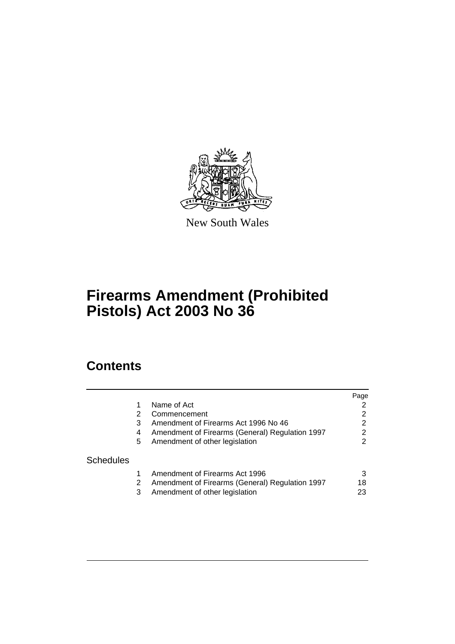

New South Wales

# **Firearms Amendment (Prohibited Pistols) Act 2003 No 36**

# **Contents**

|                  |   |                                                 | Page |
|------------------|---|-------------------------------------------------|------|
|                  |   | Name of Act                                     |      |
|                  | 2 | Commencement                                    | 2    |
|                  | 3 | Amendment of Firearms Act 1996 No 46            |      |
|                  | 4 | Amendment of Firearms (General) Regulation 1997 | 2    |
|                  | 5 | Amendment of other legislation                  | 2    |
| <b>Schedules</b> |   |                                                 |      |
|                  |   | Amendment of Firearms Act 1996                  |      |
|                  | 2 | Amendment of Firearms (General) Regulation 1997 | 18   |
|                  | 3 | Amendment of other legislation                  | 23   |
|                  |   |                                                 |      |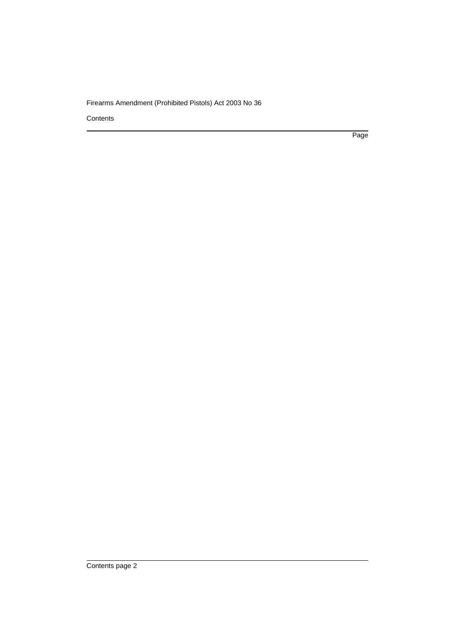**Contents** 

Page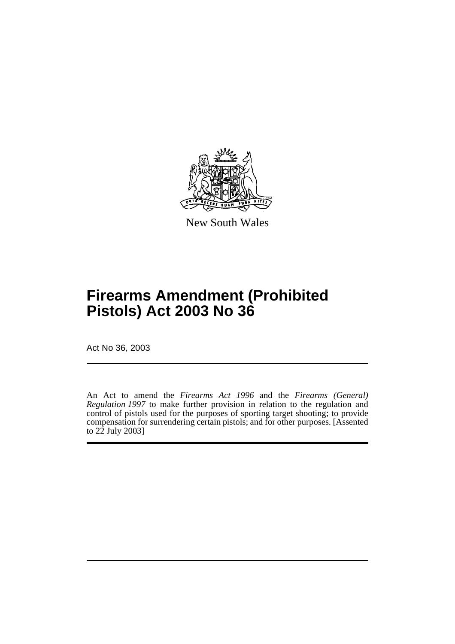

New South Wales

# **Firearms Amendment (Prohibited Pistols) Act 2003 No 36**

Act No 36, 2003

An Act to amend the *Firearms Act 1996* and the *Firearms (General) Regulation 1997* to make further provision in relation to the regulation and control of pistols used for the purposes of sporting target shooting; to provide compensation for surrendering certain pistols; and for other purposes. [Assented to  $2\overline{2}$  July 2003]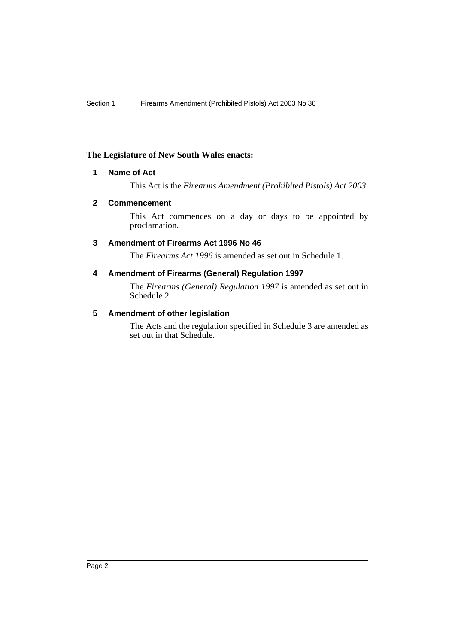## <span id="page-3-0"></span>**The Legislature of New South Wales enacts:**

## **1 Name of Act**

This Act is the *Firearms Amendment (Prohibited Pistols) Act 2003*.

## <span id="page-3-1"></span>**2 Commencement**

This Act commences on a day or days to be appointed by proclamation.

## <span id="page-3-2"></span>**3 Amendment of Firearms Act 1996 No 46**

The *Firearms Act 1996* is amended as set out in Schedule 1.

## <span id="page-3-3"></span>**4 Amendment of Firearms (General) Regulation 1997**

The *Firearms (General) Regulation 1997* is amended as set out in Schedule 2.

## <span id="page-3-4"></span>**5 Amendment of other legislation**

The Acts and the regulation specified in Schedule 3 are amended as set out in that Schedule.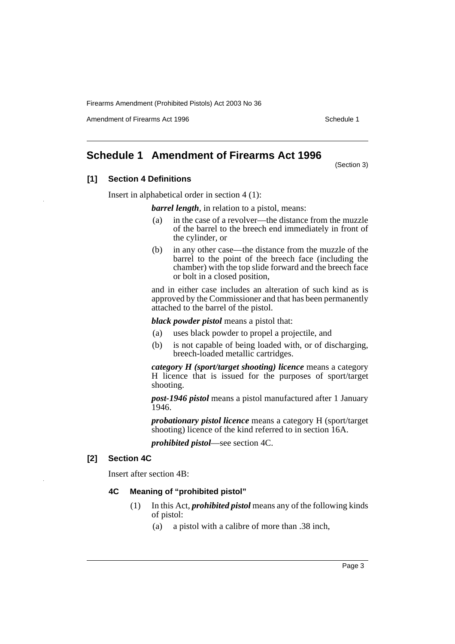Amendment of Firearms Act 1996 Schedule 1

# <span id="page-4-0"></span>**Schedule 1 Amendment of Firearms Act 1996**

(Section 3)

## **[1] Section 4 Definitions**

Insert in alphabetical order in section 4 (1):

*barrel length*, in relation to a pistol, means:

- (a) in the case of a revolver—the distance from the muzzle of the barrel to the breech end immediately in front of the cylinder, or
- (b) in any other case—the distance from the muzzle of the barrel to the point of the breech face (including the chamber) with the top slide forward and the breech face or bolt in a closed position,

and in either case includes an alteration of such kind as is approved by the Commissioner and that has been permanently attached to the barrel of the pistol.

*black powder pistol* means a pistol that:

- (a) uses black powder to propel a projectile, and
- (b) is not capable of being loaded with, or of discharging, breech-loaded metallic cartridges.

*category H (sport/target shooting) licence* means a category H licence that is issued for the purposes of sport/target shooting.

*post-1946 pistol* means a pistol manufactured after 1 January 1946.

*probationary pistol licence* means a category H (sport/target shooting) licence of the kind referred to in section 16A.

*prohibited pistol*—see section 4C.

## **[2] Section 4C**

Insert after section 4B:

## **4C Meaning of "prohibited pistol"**

- (1) In this Act, *prohibited pistol* means any of the following kinds of pistol:
	- (a) a pistol with a calibre of more than .38 inch,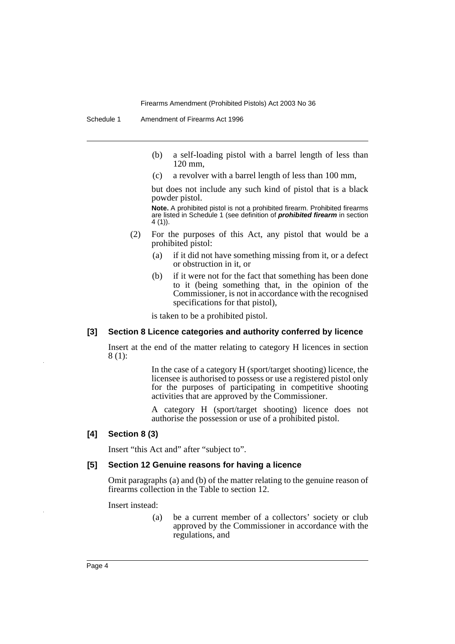- (b) a self-loading pistol with a barrel length of less than 120 mm,
- (c) a revolver with a barrel length of less than 100 mm,

but does not include any such kind of pistol that is a black powder pistol.

**Note.** A prohibited pistol is not a prohibited firearm. Prohibited firearms are listed in Schedule 1 (see definition of **prohibited firearm** in section 4 (1)).

- (2) For the purposes of this Act, any pistol that would be a prohibited pistol:
	- (a) if it did not have something missing from it, or a defect or obstruction in it, or
	- (b) if it were not for the fact that something has been done to it (being something that, in the opinion of the Commissioner, is not in accordance with the recognised specifications for that pistol),

is taken to be a prohibited pistol.

## **[3] Section 8 Licence categories and authority conferred by licence**

Insert at the end of the matter relating to category H licences in section 8 (1):

> In the case of a category H (sport/target shooting) licence, the licensee is authorised to possess or use a registered pistol only for the purposes of participating in competitive shooting activities that are approved by the Commissioner.

> A category H (sport/target shooting) licence does not authorise the possession or use of a prohibited pistol.

## **[4] Section 8 (3)**

Insert "this Act and" after "subject to".

## **[5] Section 12 Genuine reasons for having a licence**

Omit paragraphs (a) and (b) of the matter relating to the genuine reason of firearms collection in the Table to section 12.

Insert instead:

(a) be a current member of a collectors' society or club approved by the Commissioner in accordance with the regulations, and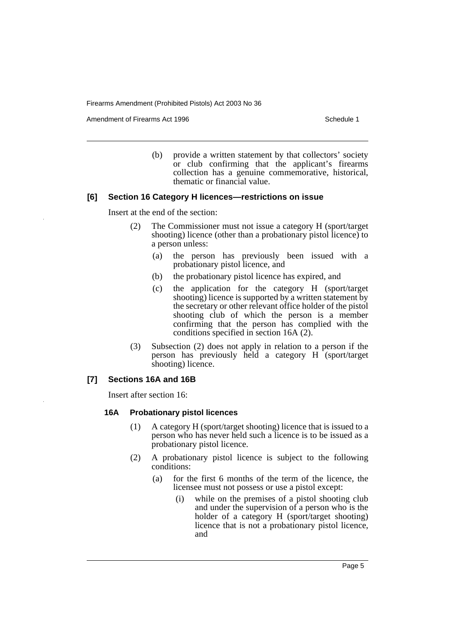Amendment of Firearms Act 1996 Schedule 1

(b) provide a written statement by that collectors' society or club confirming that the applicant's firearms collection has a genuine commemorative, historical, thematic or financial value.

## **[6] Section 16 Category H licences—restrictions on issue**

Insert at the end of the section:

- (2) The Commissioner must not issue a category H (sport/target shooting) licence (other than a probationary pistol licence) to a person unless:
	- (a) the person has previously been issued with a probationary pistol licence, and
	- (b) the probationary pistol licence has expired, and
	- (c) the application for the category H (sport/target shooting) licence is supported by a written statement by the secretary or other relevant office holder of the pistol shooting club of which the person is a member confirming that the person has complied with the conditions specified in section 16A (2).
- (3) Subsection (2) does not apply in relation to a person if the person has previously held a category H (sport/target shooting) licence.

## **[7] Sections 16A and 16B**

Insert after section 16:

#### **16A Probationary pistol licences**

- (1) A category H (sport/target shooting) licence that is issued to a person who has never held such a licence is to be issued as a probationary pistol licence.
- (2) A probationary pistol licence is subject to the following conditions:
	- (a) for the first 6 months of the term of the licence, the licensee must not possess or use a pistol except:
		- (i) while on the premises of a pistol shooting club and under the supervision of a person who is the holder of a category H (sport/target shooting) licence that is not a probationary pistol licence, and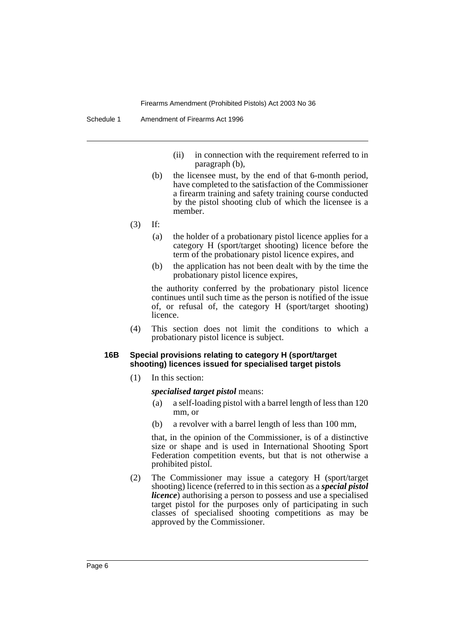Schedule 1 Amendment of Firearms Act 1996

- (ii) in connection with the requirement referred to in paragraph (b),
- (b) the licensee must, by the end of that 6-month period, have completed to the satisfaction of the Commissioner a firearm training and safety training course conducted by the pistol shooting club of which the licensee is a member.
- (3) If:
	- (a) the holder of a probationary pistol licence applies for a category H (sport/target shooting) licence before the term of the probationary pistol licence expires, and
	- (b) the application has not been dealt with by the time the probationary pistol licence expires,

the authority conferred by the probationary pistol licence continues until such time as the person is notified of the issue of, or refusal of, the category H (sport/target shooting) licence.

(4) This section does not limit the conditions to which a probationary pistol licence is subject.

## **16B Special provisions relating to category H (sport/target shooting) licences issued for specialised target pistols**

(1) In this section:

*specialised target pistol* means:

- (a) a self-loading pistol with a barrel length of less than 120 mm, or
- (b) a revolver with a barrel length of less than 100 mm,

that, in the opinion of the Commissioner, is of a distinctive size or shape and is used in International Shooting Sport Federation competition events, but that is not otherwise a prohibited pistol.

(2) The Commissioner may issue a category H (sport/target shooting) licence (referred to in this section as a *special pistol licence*) authorising a person to possess and use a specialised target pistol for the purposes only of participating in such classes of specialised shooting competitions as may be approved by the Commissioner.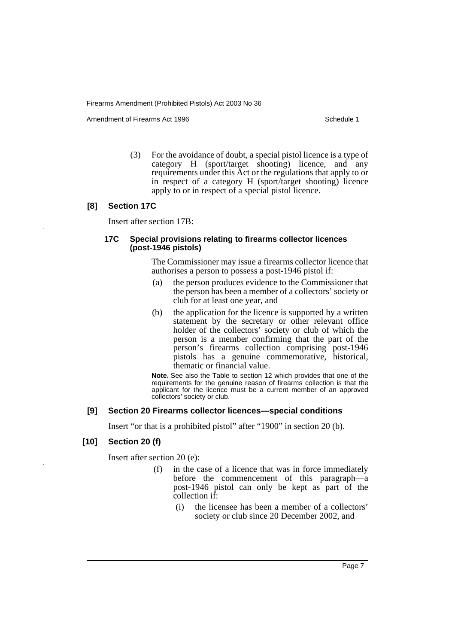Amendment of Firearms Act 1996 Schedule 1

(3) For the avoidance of doubt, a special pistol licence is a type of category H (sport/target shooting) licence, and any requirements under this Act or the regulations that apply to or in respect of a category H (sport/target shooting) licence apply to or in respect of a special pistol licence.

## **[8] Section 17C**

Insert after section 17B:

## **17C Special provisions relating to firearms collector licences (post-1946 pistols)**

The Commissioner may issue a firearms collector licence that authorises a person to possess a post-1946 pistol if:

- (a) the person produces evidence to the Commissioner that the person has been a member of a collectors' society or club for at least one year, and
- (b) the application for the licence is supported by a written statement by the secretary or other relevant office holder of the collectors' society or club of which the person is a member confirming that the part of the person's firearms collection comprising post-1946 pistols has a genuine commemorative, historical, thematic or financial value.

**Note.** See also the Table to section 12 which provides that one of the requirements for the genuine reason of firearms collection is that the applicant for the licence must be a current member of an approved collectors' society or club.

## **[9] Section 20 Firearms collector licences—special conditions**

Insert "or that is a prohibited pistol" after "1900" in section 20 (b).

## **[10] Section 20 (f)**

Insert after section 20 (e):

- (f) in the case of a licence that was in force immediately before the commencement of this paragraph—a post-1946 pistol can only be kept as part of the collection if:
	- (i) the licensee has been a member of a collectors' society or club since 20 December 2002, and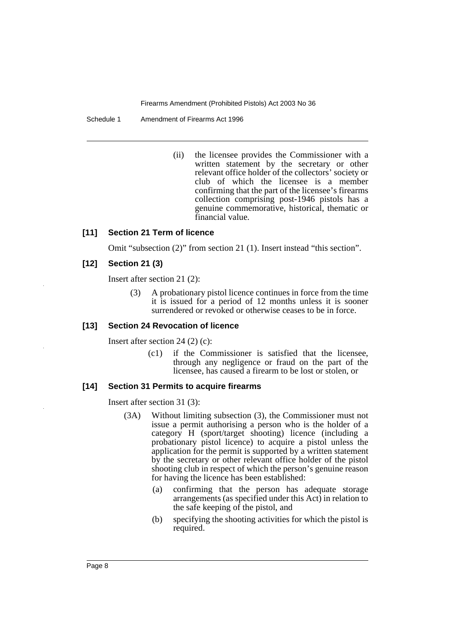Schedule 1 Amendment of Firearms Act 1996

(ii) the licensee provides the Commissioner with a written statement by the secretary or other relevant office holder of the collectors' society or club of which the licensee is a member confirming that the part of the licensee's firearms collection comprising post-1946 pistols has a genuine commemorative, historical, thematic or financial value.

## **[11] Section 21 Term of licence**

Omit "subsection (2)" from section 21 (1). Insert instead "this section".

## **[12] Section 21 (3)**

Insert after section 21 (2):

(3) A probationary pistol licence continues in force from the time it is issued for a period of 12 months unless it is sooner surrendered or revoked or otherwise ceases to be in force.

## **[13] Section 24 Revocation of licence**

Insert after section 24 (2) (c):

(c1) if the Commissioner is satisfied that the licensee, through any negligence or fraud on the part of the licensee, has caused a firearm to be lost or stolen, or

## **[14] Section 31 Permits to acquire firearms**

Insert after section 31 (3):

- (3A) Without limiting subsection (3), the Commissioner must not issue a permit authorising a person who is the holder of a category H (sport/target shooting) licence (including a probationary pistol licence) to acquire a pistol unless the application for the permit is supported by a written statement by the secretary or other relevant office holder of the pistol shooting club in respect of which the person's genuine reason for having the licence has been established:
	- (a) confirming that the person has adequate storage arrangements (as specified under this Act) in relation to the safe keeping of the pistol, and
	- (b) specifying the shooting activities for which the pistol is required.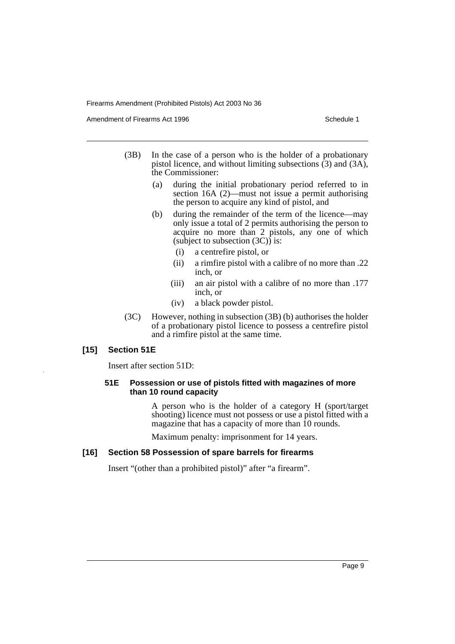Amendment of Firearms Act 1996 Schedule 1

- (3B) In the case of a person who is the holder of a probationary pistol licence, and without limiting subsections  $(3)$  and  $(3A)$ , the Commissioner:
	- (a) during the initial probationary period referred to in section 16A (2)—must not issue a permit authorising the person to acquire any kind of pistol, and
	- (b) during the remainder of the term of the licence—may only issue a total of 2 permits authorising the person to acquire no more than 2 pistols, any one of which (subject to subsection (3C)) is:
		- (i) a centrefire pistol, or
		- (ii) a rimfire pistol with a calibre of no more than .22 inch, or
		- (iii) an air pistol with a calibre of no more than .177 inch, or
		- (iv) a black powder pistol.
- (3C) However, nothing in subsection (3B) (b) authorises the holder of a probationary pistol licence to possess a centrefire pistol and a rimfire pistol at the same time.

## **[15] Section 51E**

Insert after section 51D:

## **51E Possession or use of pistols fitted with magazines of more than 10 round capacity**

A person who is the holder of a category H (sport/target shooting) licence must not possess or use a pistol fitted with a magazine that has a capacity of more than 10 rounds.

Maximum penalty: imprisonment for 14 years.

## **[16] Section 58 Possession of spare barrels for firearms**

Insert "(other than a prohibited pistol)" after "a firearm".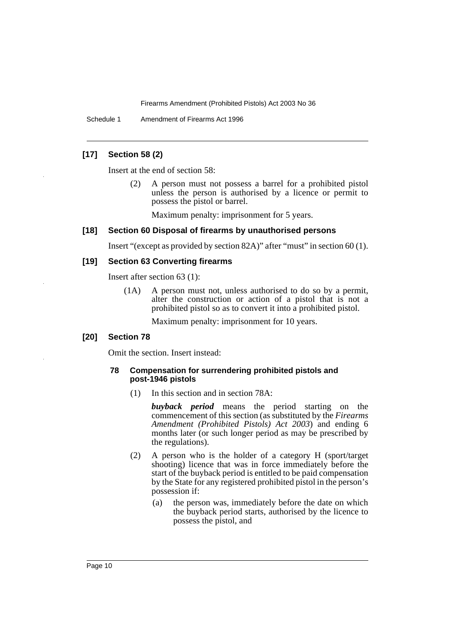Schedule 1 Amendment of Firearms Act 1996

## **[17] Section 58 (2)**

Insert at the end of section 58:

(2) A person must not possess a barrel for a prohibited pistol unless the person is authorised by a licence or permit to possess the pistol or barrel.

Maximum penalty: imprisonment for 5 years.

#### **[18] Section 60 Disposal of firearms by unauthorised persons**

Insert "(except as provided by section 82A)" after "must" in section 60 (1).

## **[19] Section 63 Converting firearms**

Insert after section 63 (1):

(1A) A person must not, unless authorised to do so by a permit, alter the construction or action of a pistol that is not a prohibited pistol so as to convert it into a prohibited pistol.

Maximum penalty: imprisonment for 10 years.

#### **[20] Section 78**

Omit the section. Insert instead:

## **78 Compensation for surrendering prohibited pistols and post-1946 pistols**

(1) In this section and in section 78A:

*buyback period* means the period starting on the commencement of this section (as substituted by the *Firearms Amendment (Prohibited Pistols) Act 2003*) and ending 6 months later (or such longer period as may be prescribed by the regulations).

- (2) A person who is the holder of a category H (sport/target shooting) licence that was in force immediately before the start of the buyback period is entitled to be paid compensation by the State for any registered prohibited pistol in the person's possession if:
	- (a) the person was, immediately before the date on which the buyback period starts, authorised by the licence to possess the pistol, and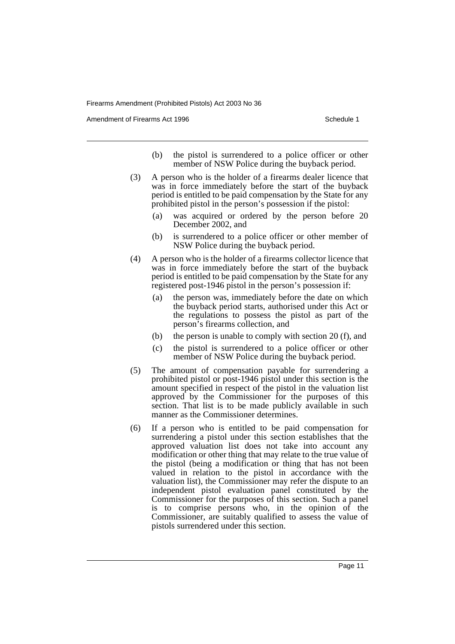Amendment of Firearms Act 1996 Schedule 1

- (b) the pistol is surrendered to a police officer or other member of NSW Police during the buyback period.
- (3) A person who is the holder of a firearms dealer licence that was in force immediately before the start of the buyback period is entitled to be paid compensation by the State for any prohibited pistol in the person's possession if the pistol:
	- (a) was acquired or ordered by the person before 20 December 2002, and
	- (b) is surrendered to a police officer or other member of NSW Police during the buyback period.
- (4) A person who is the holder of a firearms collector licence that was in force immediately before the start of the buyback period is entitled to be paid compensation by the State for any registered post-1946 pistol in the person's possession if:
	- (a) the person was, immediately before the date on which the buyback period starts, authorised under this Act or the regulations to possess the pistol as part of the person's firearms collection, and
	- (b) the person is unable to comply with section 20 (f), and
	- (c) the pistol is surrendered to a police officer or other member of NSW Police during the buyback period.
- (5) The amount of compensation payable for surrendering a prohibited pistol or post-1946 pistol under this section is the amount specified in respect of the pistol in the valuation list approved by the Commissioner for the purposes of this section. That list is to be made publicly available in such manner as the Commissioner determines.
- (6) If a person who is entitled to be paid compensation for surrendering a pistol under this section establishes that the approved valuation list does not take into account any modification or other thing that may relate to the true value of the pistol (being a modification or thing that has not been valued in relation to the pistol in accordance with the valuation list), the Commissioner may refer the dispute to an independent pistol evaluation panel constituted by the Commissioner for the purposes of this section. Such a panel is to comprise persons who, in the opinion of the Commissioner, are suitably qualified to assess the value of pistols surrendered under this section.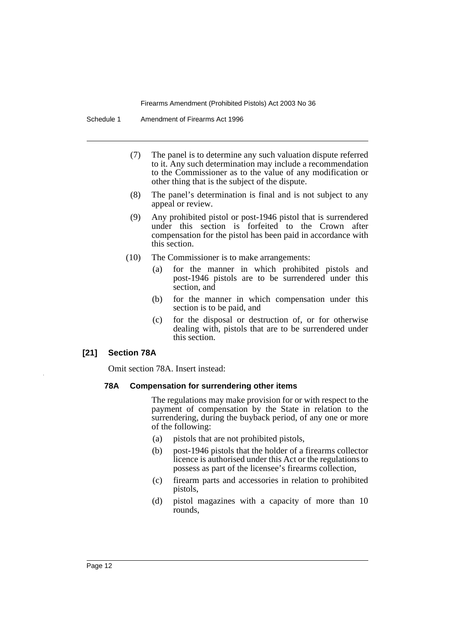Schedule 1 Amendment of Firearms Act 1996

- (7) The panel is to determine any such valuation dispute referred to it. Any such determination may include a recommendation to the Commissioner as to the value of any modification or other thing that is the subject of the dispute.
- (8) The panel's determination is final and is not subject to any appeal or review.
- (9) Any prohibited pistol or post-1946 pistol that is surrendered under this section is forfeited to the Crown after compensation for the pistol has been paid in accordance with this section.
- (10) The Commissioner is to make arrangements:
	- (a) for the manner in which prohibited pistols and post-1946 pistols are to be surrendered under this section, and
	- (b) for the manner in which compensation under this section is to be paid, and
	- (c) for the disposal or destruction of, or for otherwise dealing with, pistols that are to be surrendered under this section.

## **[21] Section 78A**

Omit section 78A. Insert instead:

## **78A Compensation for surrendering other items**

The regulations may make provision for or with respect to the payment of compensation by the State in relation to the surrendering, during the buyback period, of any one or more of the following:

- (a) pistols that are not prohibited pistols,
- (b) post-1946 pistols that the holder of a firearms collector licence is authorised under this Act or the regulations to possess as part of the licensee's firearms collection,
- (c) firearm parts and accessories in relation to prohibited pistols,
- (d) pistol magazines with a capacity of more than 10 rounds,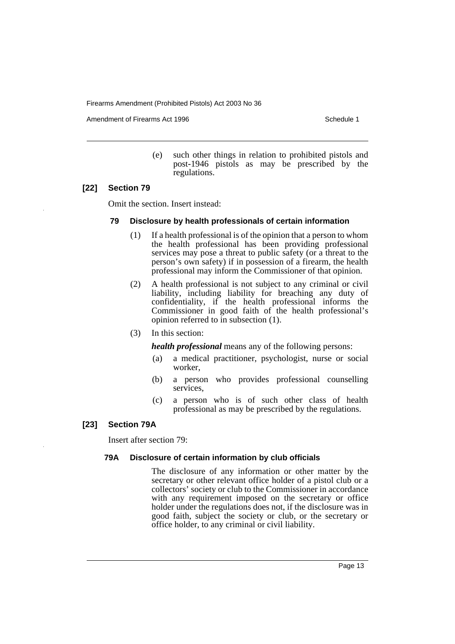Amendment of Firearms Act 1996 Schedule 1

(e) such other things in relation to prohibited pistols and post-1946 pistols as may be prescribed by the regulations.

## **[22] Section 79**

Omit the section. Insert instead:

## **79 Disclosure by health professionals of certain information**

- (1) If a health professional is of the opinion that a person to whom the health professional has been providing professional services may pose a threat to public safety (or a threat to the person's own safety) if in possession of a firearm, the health professional may inform the Commissioner of that opinion.
- (2) A health professional is not subject to any criminal or civil liability, including liability for breaching any duty of confidentiality, if the health professional informs the Commissioner in good faith of the health professional's opinion referred to in subsection (1).
- (3) In this section:

*health professional* means any of the following persons:

- (a) a medical practitioner, psychologist, nurse or social worker,
- (b) a person who provides professional counselling services,
- (c) a person who is of such other class of health professional as may be prescribed by the regulations.

## **[23] Section 79A**

Insert after section 79:

#### **79A Disclosure of certain information by club officials**

The disclosure of any information or other matter by the secretary or other relevant office holder of a pistol club or a collectors' society or club to the Commissioner in accordance with any requirement imposed on the secretary or office holder under the regulations does not, if the disclosure was in good faith, subject the society or club, or the secretary or office holder, to any criminal or civil liability.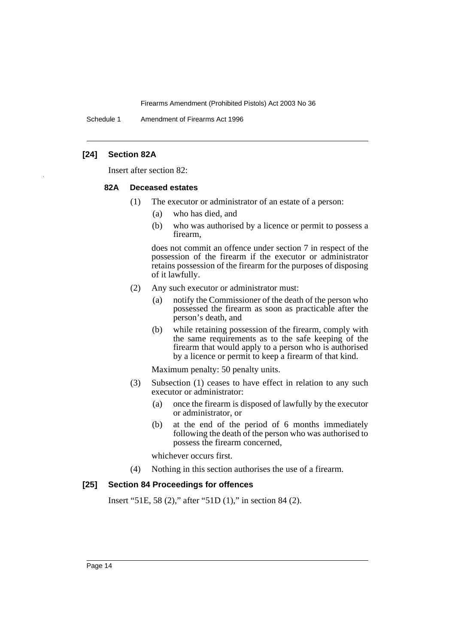Schedule 1 Amendment of Firearms Act 1996

## **[24] Section 82A**

Insert after section 82:

#### **82A Deceased estates**

- (1) The executor or administrator of an estate of a person:
	- (a) who has died, and
	- (b) who was authorised by a licence or permit to possess a firearm,

does not commit an offence under section 7 in respect of the possession of the firearm if the executor or administrator retains possession of the firearm for the purposes of disposing of it lawfully.

- (2) Any such executor or administrator must:
	- (a) notify the Commissioner of the death of the person who possessed the firearm as soon as practicable after the person's death, and
	- (b) while retaining possession of the firearm, comply with the same requirements as to the safe keeping of the firearm that would apply to a person who is authorised by a licence or permit to keep a firearm of that kind.

Maximum penalty: 50 penalty units.

- (3) Subsection (1) ceases to have effect in relation to any such executor or administrator:
	- (a) once the firearm is disposed of lawfully by the executor or administrator, or
	- (b) at the end of the period of 6 months immediately following the death of the person who was authorised to possess the firearm concerned,

whichever occurs first.

(4) Nothing in this section authorises the use of a firearm.

## **[25] Section 84 Proceedings for offences**

Insert "51E, 58 (2)," after "51D (1)," in section 84 (2).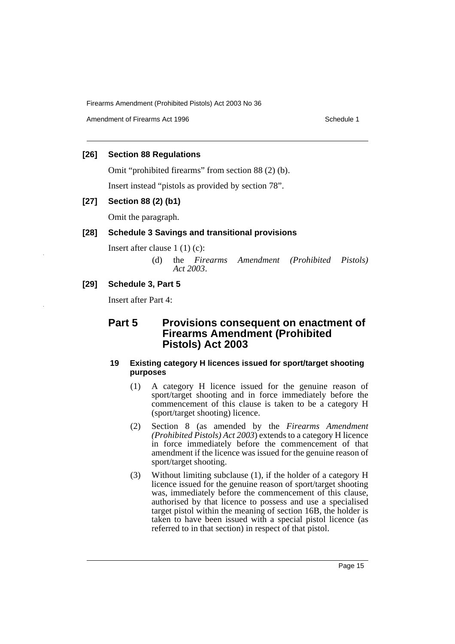Amendment of Firearms Act 1996 Schedule 1

## **[26] Section 88 Regulations**

Omit "prohibited firearms" from section 88 (2) (b).

Insert instead "pistols as provided by section 78".

## **[27] Section 88 (2) (b1)**

Omit the paragraph.

## **[28] Schedule 3 Savings and transitional provisions**

Insert after clause 1 (1) (c):

(d) the *Firearms Amendment (Prohibited Pistols) Act 2003*.

## **[29] Schedule 3, Part 5**

Insert after Part 4:

## **Part 5 Provisions consequent on enactment of Firearms Amendment (Prohibited Pistols) Act 2003**

## **19 Existing category H licences issued for sport/target shooting purposes**

- (1) A category H licence issued for the genuine reason of sport/target shooting and in force immediately before the commencement of this clause is taken to be a category H (sport/target shooting) licence.
- (2) Section 8 (as amended by the *Firearms Amendment (Prohibited Pistols) Act 2003*) extends to a category H licence in force immediately before the commencement of that amendment if the licence was issued for the genuine reason of sport/target shooting.
- (3) Without limiting subclause (1), if the holder of a category H licence issued for the genuine reason of sport/target shooting was, immediately before the commencement of this clause, authorised by that licence to possess and use a specialised target pistol within the meaning of section 16B, the holder is taken to have been issued with a special pistol licence (as referred to in that section) in respect of that pistol.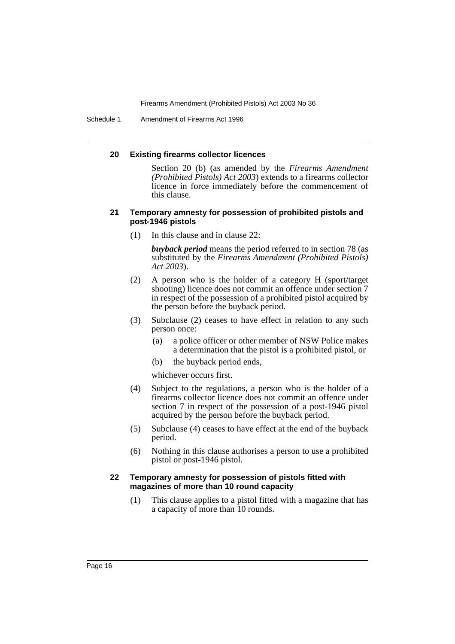Schedule 1 Amendment of Firearms Act 1996

#### **20 Existing firearms collector licences**

Section 20 (b) (as amended by the *Firearms Amendment (Prohibited Pistols) Act 2003*) extends to a firearms collector licence in force immediately before the commencement of this clause.

## **21 Temporary amnesty for possession of prohibited pistols and post-1946 pistols**

(1) In this clause and in clause 22:

*buyback period* means the period referred to in section 78 (as substituted by the *Firearms Amendment (Prohibited Pistols) Act 2003*).

- (2) A person who is the holder of a category H (sport/target shooting) licence does not commit an offence under section 7 in respect of the possession of a prohibited pistol acquired by the person before the buyback period.
- (3) Subclause (2) ceases to have effect in relation to any such person once:
	- (a) a police officer or other member of NSW Police makes a determination that the pistol is a prohibited pistol, or
	- (b) the buyback period ends,

whichever occurs first.

- (4) Subject to the regulations, a person who is the holder of a firearms collector licence does not commit an offence under section 7 in respect of the possession of a post-1946 pistol acquired by the person before the buyback period.
- (5) Subclause (4) ceases to have effect at the end of the buyback period.
- (6) Nothing in this clause authorises a person to use a prohibited pistol or post-1946 pistol.

## **22 Temporary amnesty for possession of pistols fitted with magazines of more than 10 round capacity**

(1) This clause applies to a pistol fitted with a magazine that has a capacity of more than 10 rounds.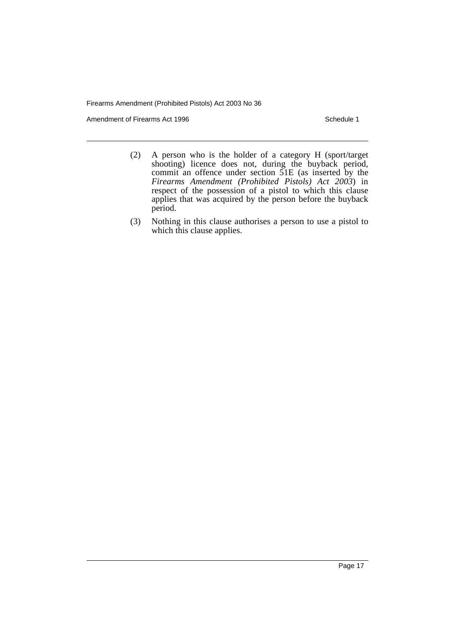Amendment of Firearms Act 1996 Schedule 1

- (2) A person who is the holder of a category H (sport/target shooting) licence does not, during the buyback period, commit an offence under section 51E (as inserted by the *Firearms Amendment (Prohibited Pistols) Act 2003*) in respect of the possession of a pistol to which this clause applies that was acquired by the person before the buyback period.
- (3) Nothing in this clause authorises a person to use a pistol to which this clause applies.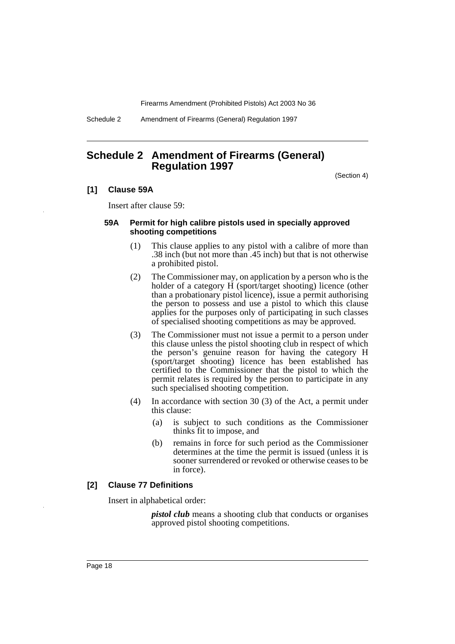Schedule 2 Amendment of Firearms (General) Regulation 1997

## <span id="page-19-0"></span>**Schedule 2 Amendment of Firearms (General) Regulation 1997**

(Section 4)

#### **[1] Clause 59A**

Insert after clause 59:

## **59A Permit for high calibre pistols used in specially approved shooting competitions**

- (1) This clause applies to any pistol with a calibre of more than .38 inch (but not more than .45 inch) but that is not otherwise a prohibited pistol.
- (2) The Commissioner may, on application by a person who is the holder of a category H (sport/target shooting) licence (other than a probationary pistol licence), issue a permit authorising the person to possess and use a pistol to which this clause applies for the purposes only of participating in such classes of specialised shooting competitions as may be approved.
- (3) The Commissioner must not issue a permit to a person under this clause unless the pistol shooting club in respect of which the person's genuine reason for having the category H (sport/target shooting) licence has been established has certified to the Commissioner that the pistol to which the permit relates is required by the person to participate in any such specialised shooting competition.
- (4) In accordance with section 30 (3) of the Act, a permit under this clause:
	- (a) is subject to such conditions as the Commissioner thinks fit to impose, and
	- (b) remains in force for such period as the Commissioner determines at the time the permit is issued (unless it is sooner surrendered or revoked or otherwise ceases to be in force).

## **[2] Clause 77 Definitions**

Insert in alphabetical order:

*pistol club* means a shooting club that conducts or organises approved pistol shooting competitions.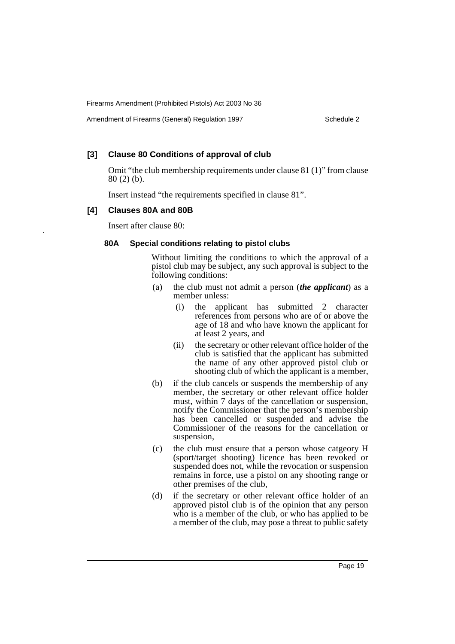Amendment of Firearms (General) Regulation 1997 Schedule 2

## **[3] Clause 80 Conditions of approval of club**

Omit "the club membership requirements under clause 81 (1)" from clause 80 (2) (b).

Insert instead "the requirements specified in clause 81".

## **[4] Clauses 80A and 80B**

Insert after clause 80:

#### **80A Special conditions relating to pistol clubs**

Without limiting the conditions to which the approval of a pistol club may be subject, any such approval is subject to the following conditions:

- (a) the club must not admit a person (*the applicant*) as a member unless:
	- (i) the applicant has submitted 2 character references from persons who are of or above the age of 18 and who have known the applicant for at least 2 years, and
	- (ii) the secretary or other relevant office holder of the club is satisfied that the applicant has submitted the name of any other approved pistol club or shooting club of which the applicant is a member,
- (b) if the club cancels or suspends the membership of any member, the secretary or other relevant office holder must, within 7 days of the cancellation or suspension, notify the Commissioner that the person's membership has been cancelled or suspended and advise the Commissioner of the reasons for the cancellation or suspension,
- (c) the club must ensure that a person whose catgeory H (sport/target shooting) licence has been revoked or suspended does not, while the revocation or suspension remains in force, use a pistol on any shooting range or other premises of the club,
- (d) if the secretary or other relevant office holder of an approved pistol club is of the opinion that any person who is a member of the club, or who has applied to be a member of the club, may pose a threat to public safety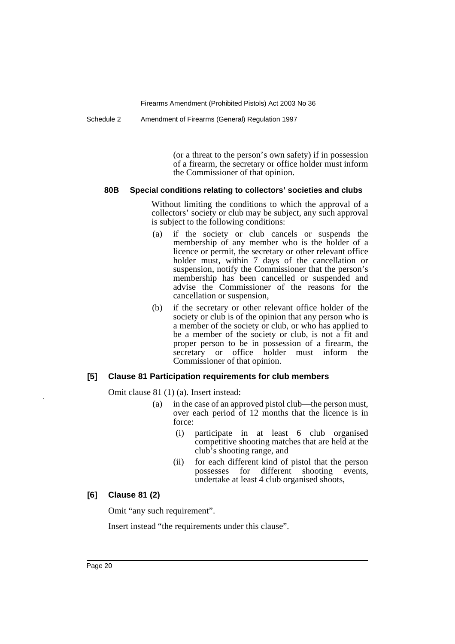Schedule 2 Amendment of Firearms (General) Regulation 1997

(or a threat to the person's own safety) if in possession of a firearm, the secretary or office holder must inform the Commissioner of that opinion.

### **80B Special conditions relating to collectors' societies and clubs**

Without limiting the conditions to which the approval of a collectors' society or club may be subject, any such approval is subject to the following conditions:

- (a) if the society or club cancels or suspends the membership of any member who is the holder of a licence or permit, the secretary or other relevant office holder must, within 7 days of the cancellation or suspension, notify the Commissioner that the person's membership has been cancelled or suspended and advise the Commissioner of the reasons for the cancellation or suspension,
- (b) if the secretary or other relevant office holder of the society or club is of the opinion that any person who is a member of the society or club, or who has applied to be a member of the society or club, is not a fit and proper person to be in possession of a firearm, the secretary or office holder must inform the Commissioner of that opinion.

## **[5] Clause 81 Participation requirements for club members**

Omit clause 81 (1) (a). Insert instead:

- (a) in the case of an approved pistol club—the person must, over each period of 12 months that the licence is in force:
	- (i) participate in at least 6 club organised competitive shooting matches that are held at the club's shooting range, and
	- (ii) for each different kind of pistol that the person possesses for different shooting events, undertake at least 4 club organised shoots,

## **[6] Clause 81 (2)**

Omit "any such requirement".

Insert instead "the requirements under this clause".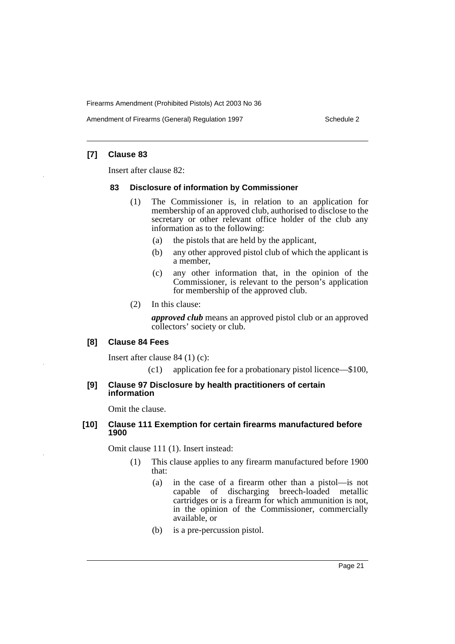Amendment of Firearms (General) Regulation 1997 Schedule 2

## **[7] Clause 83**

Insert after clause 82:

## **83 Disclosure of information by Commissioner**

- (1) The Commissioner is, in relation to an application for membership of an approved club, authorised to disclose to the secretary or other relevant office holder of the club any information as to the following:
	- (a) the pistols that are held by the applicant,
	- (b) any other approved pistol club of which the applicant is a member,
	- (c) any other information that, in the opinion of the Commissioner, is relevant to the person's application for membership of the approved club.
- (2) In this clause:

*approved club* means an approved pistol club or an approved collectors' society or club.

## **[8] Clause 84 Fees**

Insert after clause 84 (1) (c):

(c1) application fee for a probationary pistol licence—\$100,

## **[9] Clause 97 Disclosure by health practitioners of certain information**

Omit the clause.

## **[10] Clause 111 Exemption for certain firearms manufactured before 1900**

Omit clause 111 (1). Insert instead:

- (1) This clause applies to any firearm manufactured before 1900 that:
	- (a) in the case of a firearm other than a pistol—is not capable of discharging breech-loaded metallic cartridges or is a firearm for which ammunition is not, in the opinion of the Commissioner, commercially available, or
	- (b) is a pre-percussion pistol.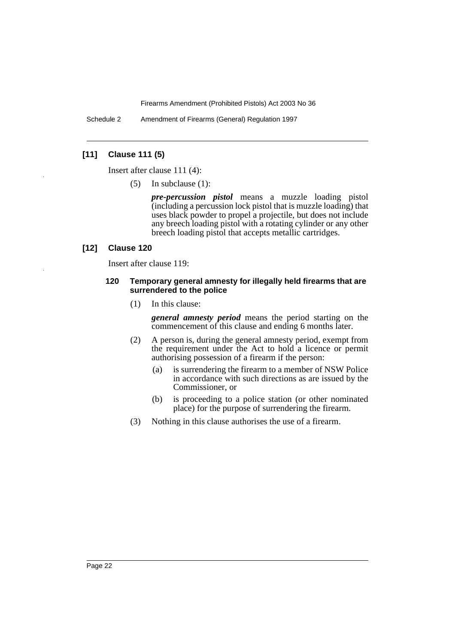Schedule 2 Amendment of Firearms (General) Regulation 1997

## **[11] Clause 111 (5)**

Insert after clause 111 (4):

(5) In subclause (1):

*pre-percussion pistol* means a muzzle loading pistol (including a percussion lock pistol that is muzzle loading) that uses black powder to propel a projectile, but does not include any breech loading pistol with a rotating cylinder or any other breech loading pistol that accepts metallic cartridges.

## **[12] Clause 120**

Insert after clause 119:

#### **120 Temporary general amnesty for illegally held firearms that are surrendered to the police**

(1) In this clause:

*general amnesty period* means the period starting on the commencement of this clause and ending 6 months later.

- (2) A person is, during the general amnesty period, exempt from the requirement under the Act to hold a licence or permit authorising possession of a firearm if the person:
	- (a) is surrendering the firearm to a member of NSW Police in accordance with such directions as are issued by the Commissioner, or
	- (b) is proceeding to a police station (or other nominated place) for the purpose of surrendering the firearm.
- (3) Nothing in this clause authorises the use of a firearm.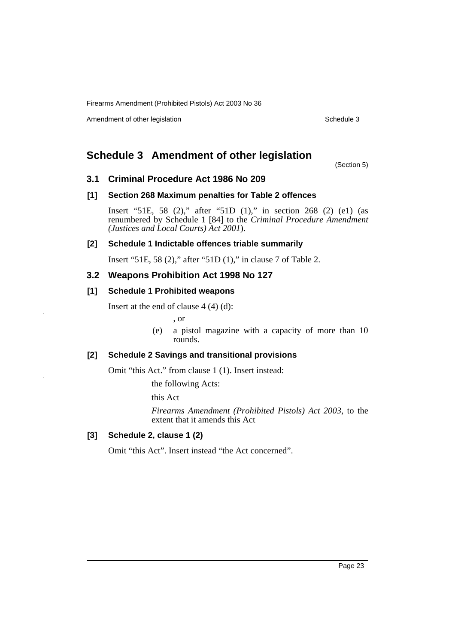Amendment of other legislation Schedule 3

# <span id="page-24-0"></span>**Schedule 3 Amendment of other legislation**

(Section 5)

## **3.1 Criminal Procedure Act 1986 No 209**

## **[1] Section 268 Maximum penalties for Table 2 offences**

Insert "51E, 58 (2)," after "51D (1)," in section 268 (2) (e1) (as renumbered by Schedule 1 [84] to the *Criminal Procedure Amendment (Justices and Local Courts) Act 2001*).

## **[2] Schedule 1 Indictable offences triable summarily**

Insert "51E, 58 (2)," after "51D (1)," in clause 7 of Table 2.

## **3.2 Weapons Prohibition Act 1998 No 127**

## **[1] Schedule 1 Prohibited weapons**

Insert at the end of clause  $4(4)(d)$ :

, or

(e) a pistol magazine with a capacity of more than 10 rounds.

## **[2] Schedule 2 Savings and transitional provisions**

Omit "this Act." from clause 1 (1). Insert instead:

the following Acts:

this Act

*Firearms Amendment (Prohibited Pistols) Act 2003*, to the extent that it amends this Act

## **[3] Schedule 2, clause 1 (2)**

Omit "this Act". Insert instead "the Act concerned".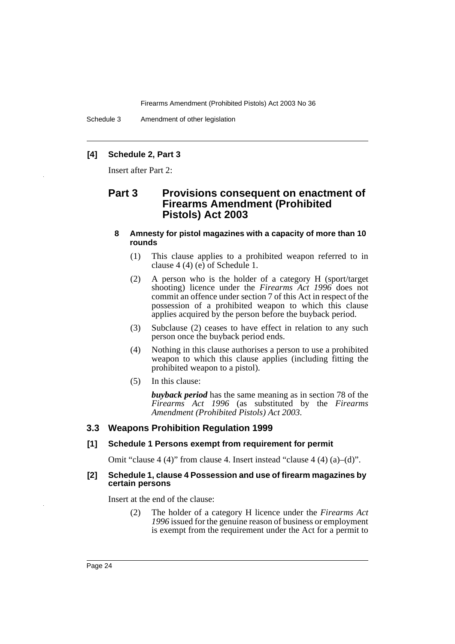Schedule 3 Amendment of other legislation

## **[4] Schedule 2, Part 3**

Insert after Part 2:

# **Part 3 Provisions consequent on enactment of Firearms Amendment (Prohibited Pistols) Act 2003**

## **8 Amnesty for pistol magazines with a capacity of more than 10 rounds**

- (1) This clause applies to a prohibited weapon referred to in clause 4 (4) (e) of Schedule 1.
- (2) A person who is the holder of a category H (sport/target shooting) licence under the *Firearms Act 1996* does not commit an offence under section 7 of this Act in respect of the possession of a prohibited weapon to which this clause applies acquired by the person before the buyback period.
- (3) Subclause (2) ceases to have effect in relation to any such person once the buyback period ends.
- (4) Nothing in this clause authorises a person to use a prohibited weapon to which this clause applies (including fitting the prohibited weapon to a pistol).
- (5) In this clause:

*buyback period* has the same meaning as in section 78 of the *Firearms Act 1996* (as substituted by the *Firearms Amendment (Prohibited Pistols) Act 2003*.

## **3.3 Weapons Prohibition Regulation 1999**

## **[1] Schedule 1 Persons exempt from requirement for permit**

Omit "clause 4 (4)" from clause 4. Insert instead "clause 4 (4) (a)–(d)".

## **[2] Schedule 1, clause 4 Possession and use of firearm magazines by certain persons**

Insert at the end of the clause:

(2) The holder of a category H licence under the *Firearms Act 1996* issued for the genuine reason of business or employment is exempt from the requirement under the Act for a permit to